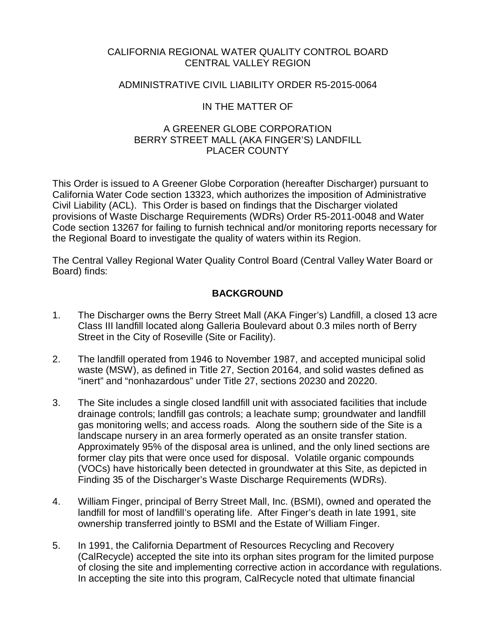# CALIFORNIA REGIONAL WATER QUALITY CONTROL BOARD CENTRAL VALLEY REGION

# ADMINISTRATIVE CIVIL LIABILITY ORDER R5-2015-0064

# IN THE MATTER OF

# A GREENER GLOBE CORPORATION BERRY STREET MALL (AKA FINGER'S) LANDFILL PLACER COUNTY

This Order is issued to A Greener Globe Corporation (hereafter Discharger) pursuant to California Water Code section 13323, which authorizes the imposition of Administrative Civil Liability (ACL). This Order is based on findings that the Discharger violated provisions of Waste Discharge Requirements (WDRs) Order R5-2011-0048 and Water Code section 13267 for failing to furnish technical and/or monitoring reports necessary for the Regional Board to investigate the quality of waters within its Region.

The Central Valley Regional Water Quality Control Board (Central Valley Water Board or Board) finds:

# **BACKGROUND**

- 1. The Discharger owns the Berry Street Mall (AKA Finger's) Landfill, a closed 13 acre Class III landfill located along Galleria Boulevard about 0.3 miles north of Berry Street in the City of Roseville (Site or Facility).
- 2. The landfill operated from 1946 to November 1987, and accepted municipal solid waste (MSW), as defined in Title 27, Section 20164, and solid wastes defined as "inert" and "nonhazardous" under Title 27, sections 20230 and 20220.
- 3. The Site includes a single closed landfill unit with associated facilities that include drainage controls; landfill gas controls; a leachate sump; groundwater and landfill gas monitoring wells; and access roads. Along the southern side of the Site is a landscape nursery in an area formerly operated as an onsite transfer station. Approximately 95% of the disposal area is unlined, and the only lined sections are former clay pits that were once used for disposal. Volatile organic compounds (VOCs) have historically been detected in groundwater at this Site, as depicted in Finding 35 of the Discharger's Waste Discharge Requirements (WDRs).
- 4. William Finger, principal of Berry Street Mall, Inc. (BSMI), owned and operated the landfill for most of landfill's operating life. After Finger's death in late 1991, site ownership transferred jointly to BSMI and the Estate of William Finger.
- 5. In 1991, the California Department of Resources Recycling and Recovery (CalRecycle) accepted the site into its orphan sites program for the limited purpose of closing the site and implementing corrective action in accordance with regulations. In accepting the site into this program, CalRecycle noted that ultimate financial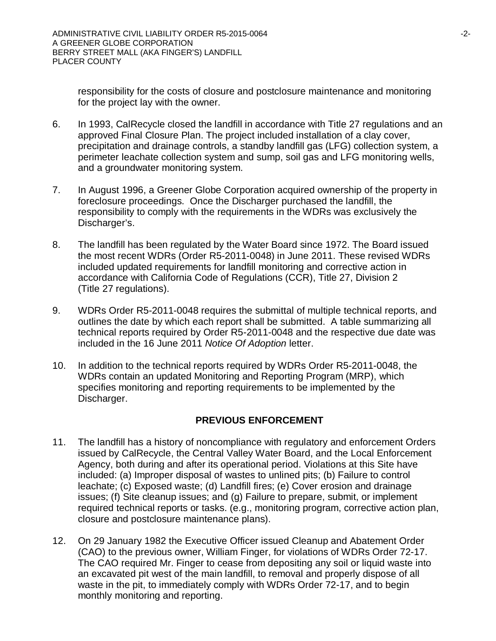responsibility for the costs of closure and postclosure maintenance and monitoring for the project lay with the owner.

- 6. In 1993, CalRecycle closed the landfill in accordance with Title 27 regulations and an approved Final Closure Plan. The project included installation of a clay cover, precipitation and drainage controls, a standby landfill gas (LFG) collection system, a perimeter leachate collection system and sump, soil gas and LFG monitoring wells, and a groundwater monitoring system.
- 7. In August 1996, a Greener Globe Corporation acquired ownership of the property in foreclosure proceedings. Once the Discharger purchased the landfill, the responsibility to comply with the requirements in the WDRs was exclusively the Discharger's.
- 8. The landfill has been regulated by the Water Board since 1972. The Board issued the most recent WDRs (Order R5-2011-0048) in June 2011. These revised WDRs included updated requirements for landfill monitoring and corrective action in accordance with California Code of Regulations (CCR), Title 27, Division 2 (Title 27 regulations).
- 9. WDRs Order R5-2011-0048 requires the submittal of multiple technical reports, and outlines the date by which each report shall be submitted. A table summarizing all technical reports required by Order R5-2011-0048 and the respective due date was included in the 16 June 2011 *Notice Of Adoption* letter.
- 10. In addition to the technical reports required by WDRs Order R5-2011-0048, the WDRs contain an updated Monitoring and Reporting Program (MRP), which specifies monitoring and reporting requirements to be implemented by the Discharger.

# **PREVIOUS ENFORCEMENT**

- 11. The landfill has a history of noncompliance with regulatory and enforcement Orders issued by CalRecycle, the Central Valley Water Board, and the Local Enforcement Agency, both during and after its operational period. Violations at this Site have included: (a) Improper disposal of wastes to unlined pits; (b) Failure to control leachate; (c) Exposed waste; (d) Landfill fires; (e) Cover erosion and drainage issues; (f) Site cleanup issues; and (g) Failure to prepare, submit, or implement required technical reports or tasks. (e.g., monitoring program, corrective action plan, closure and postclosure maintenance plans).
- 12. On 29 January 1982 the Executive Officer issued Cleanup and Abatement Order (CAO) to the previous owner, William Finger, for violations of WDRs Order 72-17. The CAO required Mr. Finger to cease from depositing any soil or liquid waste into an excavated pit west of the main landfill, to removal and properly dispose of all waste in the pit, to immediately comply with WDRs Order 72-17, and to begin monthly monitoring and reporting.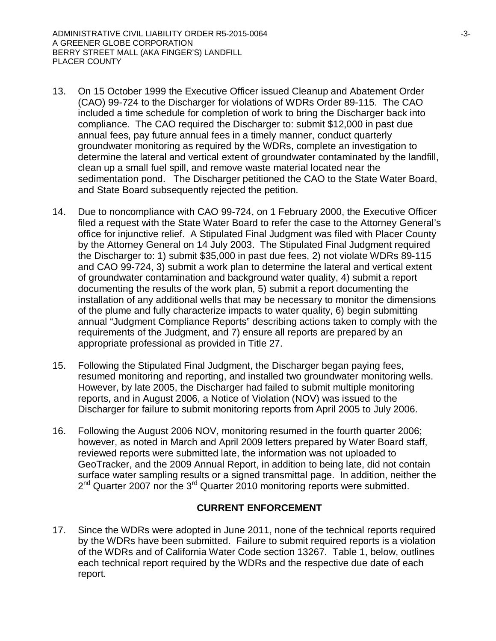- 13. On 15 October 1999 the Executive Officer issued Cleanup and Abatement Order (CAO) 99-724 to the Discharger for violations of WDRs Order 89-115. The CAO included a time schedule for completion of work to bring the Discharger back into compliance. The CAO required the Discharger to: submit \$12,000 in past due annual fees, pay future annual fees in a timely manner, conduct quarterly groundwater monitoring as required by the WDRs, complete an investigation to determine the lateral and vertical extent of groundwater contaminated by the landfill, clean up a small fuel spill, and remove waste material located near the sedimentation pond. The Discharger petitioned the CAO to the State Water Board, and State Board subsequently rejected the petition.
- 14. Due to noncompliance with CAO 99-724, on 1 February 2000, the Executive Officer filed a request with the State Water Board to refer the case to the Attorney General's office for injunctive relief. A Stipulated Final Judgment was filed with Placer County by the Attorney General on 14 July 2003. The Stipulated Final Judgment required the Discharger to: 1) submit \$35,000 in past due fees, 2) not violate WDRs 89-115 and CAO 99-724, 3) submit a work plan to determine the lateral and vertical extent of groundwater contamination and background water quality, 4) submit a report documenting the results of the work plan, 5) submit a report documenting the installation of any additional wells that may be necessary to monitor the dimensions of the plume and fully characterize impacts to water quality, 6) begin submitting annual "Judgment Compliance Reports" describing actions taken to comply with the requirements of the Judgment, and 7) ensure all reports are prepared by an appropriate professional as provided in Title 27.
- 15. Following the Stipulated Final Judgment, the Discharger began paying fees, resumed monitoring and reporting, and installed two groundwater monitoring wells. However, by late 2005, the Discharger had failed to submit multiple monitoring reports, and in August 2006, a Notice of Violation (NOV) was issued to the Discharger for failure to submit monitoring reports from April 2005 to July 2006.
- 16. Following the August 2006 NOV, monitoring resumed in the fourth quarter 2006; however, as noted in March and April 2009 letters prepared by Water Board staff, reviewed reports were submitted late, the information was not uploaded to GeoTracker, and the 2009 Annual Report, in addition to being late, did not contain surface water sampling results or a signed transmittal page. In addition, neither the 2<sup>nd</sup> Quarter 2007 nor the 3<sup>rd</sup> Quarter 2010 monitoring reports were submitted.

# **CURRENT ENFORCEMENT**

17. Since the WDRs were adopted in June 2011, none of the technical reports required by the WDRs have been submitted. Failure to submit required reports is a violation of the WDRs and of California Water Code section 13267. Table 1, below, outlines each technical report required by the WDRs and the respective due date of each report.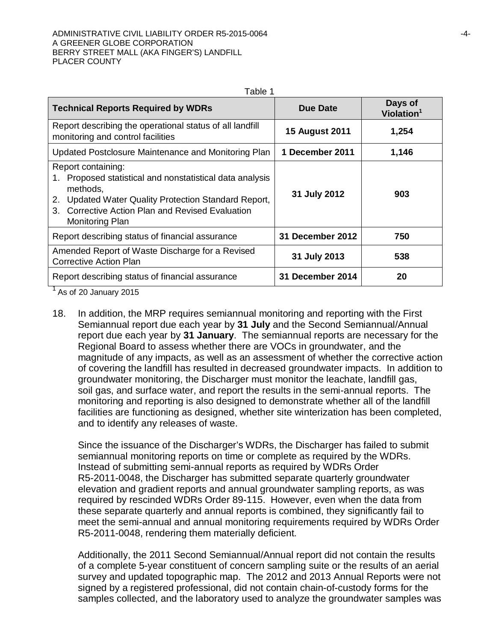| <b>Technical Reports Required by WDRs</b>                                                                                                                                                                                                 | Due Date                | Days of<br>Violation <sup>1</sup> |
|-------------------------------------------------------------------------------------------------------------------------------------------------------------------------------------------------------------------------------------------|-------------------------|-----------------------------------|
| Report describing the operational status of all landfill<br>monitoring and control facilities                                                                                                                                             | <b>15 August 2011</b>   | 1,254                             |
| Updated Postclosure Maintenance and Monitoring Plan                                                                                                                                                                                       | 1 December 2011         | 1,146                             |
| Report containing:<br>1. Proposed statistical and nonstatistical data analysis<br>methods,<br>Updated Water Quality Protection Standard Report,<br>2.<br>Corrective Action Plan and Revised Evaluation<br>$3 -$<br><b>Monitoring Plan</b> | 31 July 2012            | 903                               |
| Report describing status of financial assurance                                                                                                                                                                                           | <b>31 December 2012</b> | 750                               |
| Amended Report of Waste Discharge for a Revised<br><b>Corrective Action Plan</b>                                                                                                                                                          | 31 July 2013            | 538                               |
| Report describing status of financial assurance                                                                                                                                                                                           | <b>31 December 2014</b> | 20                                |

<sup>1</sup> As of 20 January 2015

18. In addition, the MRP requires semiannual monitoring and reporting with the First Semiannual report due each year by **31 July** and the Second Semiannual/Annual report due each year by **31 January**. The semiannual reports are necessary for the Regional Board to assess whether there are VOCs in groundwater, and the magnitude of any impacts, as well as an assessment of whether the corrective action of covering the landfill has resulted in decreased groundwater impacts. In addition to groundwater monitoring, the Discharger must monitor the leachate, landfill gas, soil gas, and surface water, and report the results in the semi-annual reports. The monitoring and reporting is also designed to demonstrate whether all of the landfill facilities are functioning as designed, whether site winterization has been completed, and to identify any releases of waste.

Since the issuance of the Discharger's WDRs, the Discharger has failed to submit semiannual monitoring reports on time or complete as required by the WDRs. Instead of submitting semi-annual reports as required by WDRs Order R5-2011-0048, the Discharger has submitted separate quarterly groundwater elevation and gradient reports and annual groundwater sampling reports, as was required by rescinded WDRs Order 89-115. However, even when the data from these separate quarterly and annual reports is combined, they significantly fail to meet the semi-annual and annual monitoring requirements required by WDRs Order R5-2011-0048, rendering them materially deficient.

Additionally, the 2011 Second Semiannual/Annual report did not contain the results of a complete 5-year constituent of concern sampling suite or the results of an aerial survey and updated topographic map. The 2012 and 2013 Annual Reports were not signed by a registered professional, did not contain chain-of-custody forms for the samples collected, and the laboratory used to analyze the groundwater samples was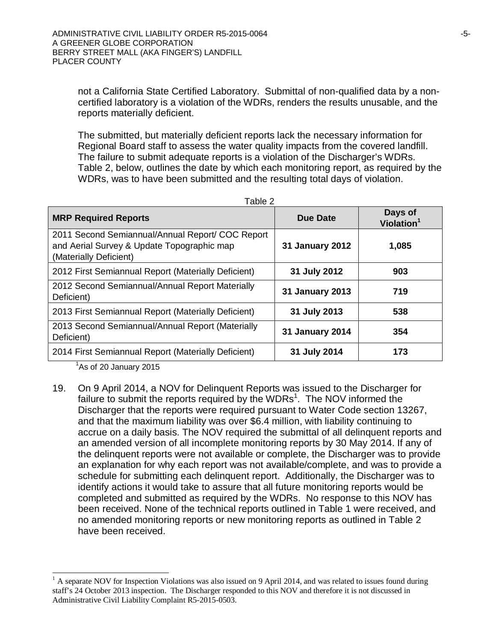not a California State Certified Laboratory. Submittal of non-qualified data by a noncertified laboratory is a violation of the WDRs, renders the results unusable, and the reports materially deficient.

The submitted, but materially deficient reports lack the necessary information for Regional Board staff to assess the water quality impacts from the covered landfill. The failure to submit adequate reports is a violation of the Discharger's WDRs. Table 2, below, outlines the date by which each monitoring report, as required by the WDRs, was to have been submitted and the resulting total days of violation.

| <b>MRP Required Reports</b>                                                                                              | <b>Due Date</b>        | Days of<br>Violation <sup>1</sup> |  |
|--------------------------------------------------------------------------------------------------------------------------|------------------------|-----------------------------------|--|
| 2011 Second Semiannual/Annual Report/ COC Report<br>and Aerial Survey & Update Topographic map<br>(Materially Deficient) | <b>31 January 2012</b> | 1,085                             |  |
| 2012 First Semiannual Report (Materially Deficient)                                                                      | 31 July 2012           | 903                               |  |
| 2012 Second Semiannual/Annual Report Materially<br>Deficient)                                                            | <b>31 January 2013</b> | 719                               |  |
| 2013 First Semiannual Report (Materially Deficient)                                                                      | 31 July 2013           | 538                               |  |
| 2013 Second Semiannual/Annual Report (Materially<br>Deficient)                                                           | <b>31 January 2014</b> | 354                               |  |
| 2014 First Semiannual Report (Materially Deficient)                                                                      | 31 July 2014           | 173                               |  |

Table 2

 $<sup>1</sup>$ As of 20 January 2015</sup>

-

19. On 9 April 2014, a NOV for Delinquent Reports was issued to the Discharger for failure to submit the reports required by the WDRs<sup>1</sup>. The NOV informed the Discharger that the reports were required pursuant to Water Code section 13267, and that the maximum liability was over \$6.4 million, with liability continuing to accrue on a daily basis. The NOV required the submittal of all delinquent reports and an amended version of all incomplete monitoring reports by 30 May 2014. If any of the delinquent reports were not available or complete, the Discharger was to provide an explanation for why each report was not available/complete, and was to provide a schedule for submitting each delinquent report. Additionally, the Discharger was to identify actions it would take to assure that all future monitoring reports would be completed and submitted as required by the WDRs. No response to this NOV has been received. None of the technical reports outlined in Table 1 were received, and no amended monitoring reports or new monitoring reports as outlined in Table 2 have been received.

 $<sup>1</sup>$  A separate NOV for Inspection Violations was also issued on 9 April 2014, and was related to issues found during</sup> staff's 24 October 2013 inspection. The Discharger responded to this NOV and therefore it is not discussed in Administrative Civil Liability Complaint R5-2015-0503.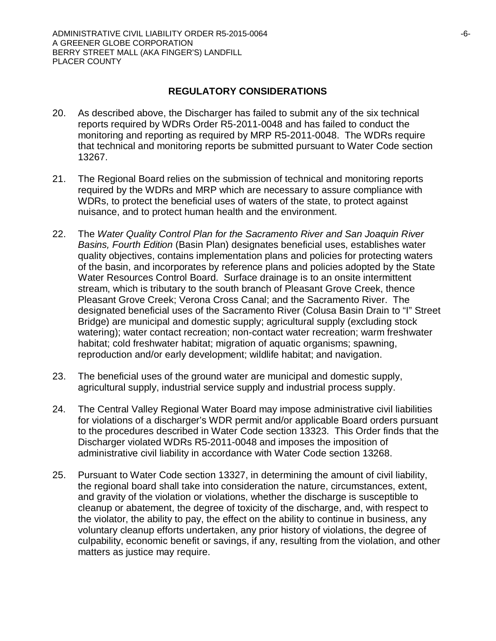# **REGULATORY CONSIDERATIONS**

- 20. As described above, the Discharger has failed to submit any of the six technical reports required by WDRs Order R5-2011-0048 and has failed to conduct the monitoring and reporting as required by MRP R5-2011-0048. The WDRs require that technical and monitoring reports be submitted pursuant to Water Code section 13267.
- 21. The Regional Board relies on the submission of technical and monitoring reports required by the WDRs and MRP which are necessary to assure compliance with WDRs, to protect the beneficial uses of waters of the state, to protect against nuisance, and to protect human health and the environment.
- 22. The *Water Quality Control Plan for the Sacramento River and San Joaquin River Basins, Fourth Edition* (Basin Plan) designates beneficial uses, establishes water quality objectives, contains implementation plans and policies for protecting waters of the basin, and incorporates by reference plans and policies adopted by the State Water Resources Control Board. Surface drainage is to an onsite intermittent stream, which is tributary to the south branch of Pleasant Grove Creek, thence Pleasant Grove Creek; Verona Cross Canal; and the Sacramento River. The designated beneficial uses of the Sacramento River (Colusa Basin Drain to "I" Street Bridge) are municipal and domestic supply; agricultural supply (excluding stock watering); water contact recreation; non-contact water recreation; warm freshwater habitat; cold freshwater habitat; migration of aquatic organisms; spawning, reproduction and/or early development; wildlife habitat; and navigation.
- 23. The beneficial uses of the ground water are municipal and domestic supply, agricultural supply, industrial service supply and industrial process supply.
- 24. The Central Valley Regional Water Board may impose administrative civil liabilities for violations of a discharger's WDR permit and/or applicable Board orders pursuant to the procedures described in Water Code section 13323. This Order finds that the Discharger violated WDRs R5-2011-0048 and imposes the imposition of administrative civil liability in accordance with Water Code section 13268.
- 25. Pursuant to Water Code section 13327, in determining the amount of civil liability, the regional board shall take into consideration the nature, circumstances, extent, and gravity of the violation or violations, whether the discharge is susceptible to cleanup or abatement, the degree of toxicity of the discharge, and, with respect to the violator, the ability to pay, the effect on the ability to continue in business, any voluntary cleanup efforts undertaken, any prior history of violations, the degree of culpability, economic benefit or savings, if any, resulting from the violation, and other matters as justice may require.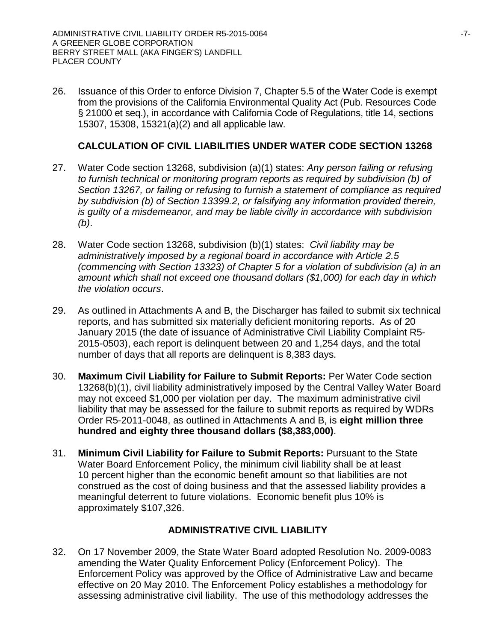26. Issuance of this Order to enforce Division 7, Chapter 5.5 of the Water Code is exempt from the provisions of the California Environmental Quality Act (Pub. Resources Code § 21000 et seq.), in accordance with California Code of Regulations, title 14, sections 15307, 15308, 15321(a)(2) and all applicable law.

# **CALCULATION OF CIVIL LIABILITIES UNDER WATER CODE SECTION 13268**

- 27. Water Code section 13268, subdivision (a)(1) states: *Any person failing or refusing to furnish technical or monitoring program reports as required by subdivision (b) of Section 13267, or failing or refusing to furnish a statement of compliance as required by subdivision (b) of Section 13399.2, or falsifying any information provided therein, is guilty of a misdemeanor, and may be liable civilly in accordance with subdivision (b)*.
- 28. Water Code section 13268, subdivision (b)(1) states: *Civil liability may be administratively imposed by a regional board in accordance with Article 2.5 (commencing with Section 13323) of Chapter 5 for a violation of subdivision (a) in an amount which shall not exceed one thousand dollars (\$1,000) for each day in which the violation occurs*.
- 29. As outlined in Attachments A and B, the Discharger has failed to submit six technical reports, and has submitted six materially deficient monitoring reports. As of 20 January 2015 (the date of issuance of Administrative Civil Liability Complaint R5- 2015-0503), each report is delinquent between 20 and 1,254 days, and the total number of days that all reports are delinquent is 8,383 days.
- 30. **Maximum Civil Liability for Failure to Submit Reports:** Per Water Code section 13268(b)(1), civil liability administratively imposed by the Central Valley Water Board may not exceed \$1,000 per violation per day. The maximum administrative civil liability that may be assessed for the failure to submit reports as required by WDRs Order R5-2011-0048, as outlined in Attachments A and B, is **eight million three hundred and eighty three thousand dollars (\$8,383,000)**.
- 31. **Minimum Civil Liability for Failure to Submit Reports:** Pursuant to the State Water Board Enforcement Policy, the minimum civil liability shall be at least 10 percent higher than the economic benefit amount so that liabilities are not construed as the cost of doing business and that the assessed liability provides a meaningful deterrent to future violations. Economic benefit plus 10% is approximately \$107,326.

# **ADMINISTRATIVE CIVIL LIABILITY**

32. On 17 November 2009, the State Water Board adopted Resolution No. 2009-0083 amending the Water Quality Enforcement Policy (Enforcement Policy). The Enforcement Policy was approved by the Office of Administrative Law and became effective on 20 May 2010. The Enforcement Policy establishes a methodology for assessing administrative civil liability. The use of this methodology addresses the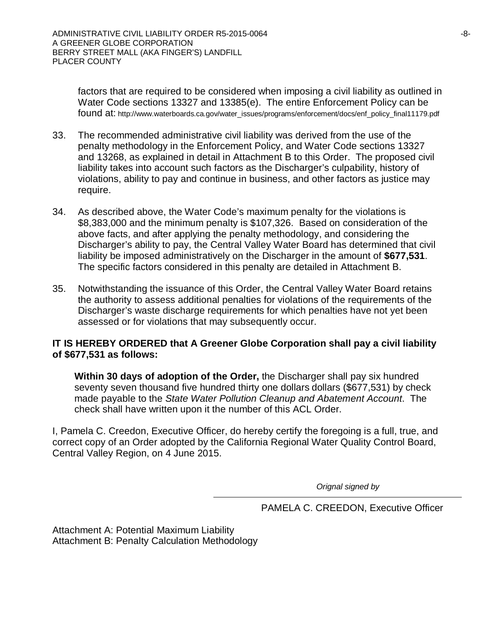factors that are required to be considered when imposing a civil liability as outlined in Water Code sections 13327 and 13385(e). The entire Enforcement Policy can be found at: http://www.waterboards.ca.gov/water\_issues/programs/enforcement/docs/enf\_policy\_final11179.pdf

- 33. The recommended administrative civil liability was derived from the use of the penalty methodology in the Enforcement Policy, and Water Code sections 13327 and 13268, as explained in detail in Attachment B to this Order. The proposed civil liability takes into account such factors as the Discharger's culpability, history of violations, ability to pay and continue in business, and other factors as justice may require.
- 34. As described above, the Water Code's maximum penalty for the violations is \$8,383,000 and the minimum penalty is \$107,326. Based on consideration of the above facts, and after applying the penalty methodology, and considering the Discharger's ability to pay, the Central Valley Water Board has determined that civil liability be imposed administratively on the Discharger in the amount of **\$677,531**. The specific factors considered in this penalty are detailed in Attachment B.
- 35. Notwithstanding the issuance of this Order, the Central Valley Water Board retains the authority to assess additional penalties for violations of the requirements of the Discharger's waste discharge requirements for which penalties have not yet been assessed or for violations that may subsequently occur.

## **IT IS HEREBY ORDERED that A Greener Globe Corporation shall pay a civil liability of \$677,531 as follows:**

**Within 30 days of adoption of the Order,** the Discharger shall pay six hundred seventy seven thousand five hundred thirty one dollars dollars (\$677,531) by check made payable to the *State Water Pollution Cleanup and Abatement Account*. The check shall have written upon it the number of this ACL Order.

I, Pamela C. Creedon, Executive Officer, do hereby certify the foregoing is a full, true, and correct copy of an Order adopted by the California Regional Water Quality Control Board, Central Valley Region, on 4 June 2015.

*Orignal signed by*

PAMELA C. CREEDON, Executive Officer

Attachment A: Potential Maximum Liability Attachment B: Penalty Calculation Methodology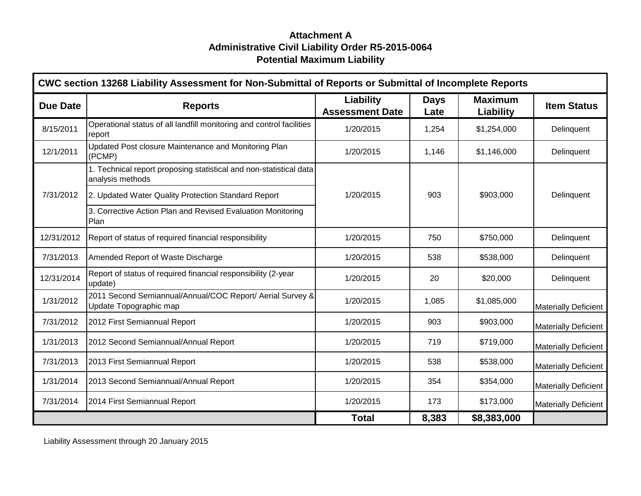# **Attachment A Administrative Civil Liability Order R5-2015-0064 Potential Maximum Liability**

| CWC section 13268 Liability Assessment for Non-Submittal of Reports or Submittal of Incomplete Reports |                                                                                        |                                            |                     |                             |                             |  |
|--------------------------------------------------------------------------------------------------------|----------------------------------------------------------------------------------------|--------------------------------------------|---------------------|-----------------------------|-----------------------------|--|
| <b>Due Date</b>                                                                                        | <b>Reports</b>                                                                         | <b>Liability</b><br><b>Assessment Date</b> | <b>Days</b><br>Late | <b>Maximum</b><br>Liability | <b>Item Status</b>          |  |
| 8/15/2011                                                                                              | Operational status of all landfill monitoring and control facilities<br>report         | 1/20/2015                                  | 1,254               | \$1,254,000                 | Delinquent                  |  |
| 12/1/2011                                                                                              | Updated Post closure Maintenance and Monitoring Plan<br>(PCMP)                         | 1/20/2015                                  | 1,146               | \$1,146,000                 | Delinquent                  |  |
|                                                                                                        | 1. Technical report proposing statistical and non-statistical data<br>analysis methods |                                            |                     |                             |                             |  |
| 7/31/2012                                                                                              | 2. Updated Water Quality Protection Standard Report                                    | 1/20/2015                                  | 903                 | \$903,000                   | Delinquent                  |  |
|                                                                                                        | 3. Corrective Action Plan and Revised Evaluation Monitoring<br>Plan                    |                                            |                     |                             |                             |  |
| 12/31/2012                                                                                             | Report of status of required financial responsibility                                  | 1/20/2015                                  | 750                 | \$750,000                   | Delinquent                  |  |
| 7/31/2013                                                                                              | Amended Report of Waste Discharge                                                      | 1/20/2015                                  | 538                 | \$538,000                   | Delinquent                  |  |
| 12/31/2014                                                                                             | Report of status of required financial responsibility (2-year<br>update)               | 1/20/2015                                  | 20                  | \$20,000                    | Delinquent                  |  |
| 1/31/2012                                                                                              | 2011 Second Semiannual/Annual/COC Report/ Aerial Survey &<br>Update Topographic map    | 1/20/2015                                  | 1,085               | \$1,085,000                 | <b>Materially Deficient</b> |  |
| 7/31/2012                                                                                              | 2012 First Semiannual Report                                                           | 1/20/2015                                  | 903                 | \$903,000                   | <b>Materially Deficient</b> |  |
| 1/31/2013                                                                                              | 2012 Second Semiannual/Annual Report                                                   | 1/20/2015                                  | 719                 | \$719,000                   | <b>Materially Deficient</b> |  |
| 7/31/2013                                                                                              | 2013 First Semiannual Report                                                           | 1/20/2015                                  | 538                 | \$538,000                   | <b>Materially Deficient</b> |  |
| 1/31/2014                                                                                              | 2013 Second Semiannual/Annual Report                                                   | 1/20/2015                                  | 354                 | \$354,000                   | <b>Materially Deficient</b> |  |
| 7/31/2014                                                                                              | 2014 First Semiannual Report                                                           | 1/20/2015                                  | 173                 | \$173,000                   | <b>Materially Deficient</b> |  |
|                                                                                                        |                                                                                        | <b>Total</b>                               | 8,383               | \$8,383,000                 |                             |  |

Liability Assessment through 20 January 2015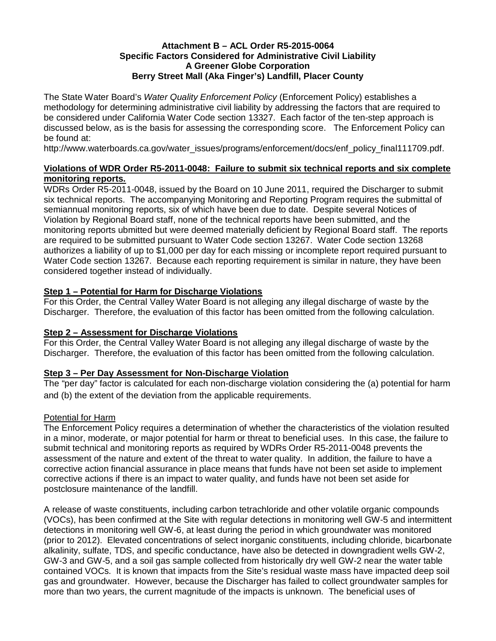## **Attachment B – ACL Order R5-2015-0064 Specific Factors Considered for Administrative Civil Liability A Greener Globe Corporation Berry Street Mall (Aka Finger's) Landfill, Placer County**

The State Water Board's *Water Quality Enforcement Policy* (Enforcement Policy) establishes a methodology for determining administrative civil liability by addressing the factors that are required to be considered under California Water Code section 13327. Each factor of the ten-step approach is discussed below, as is the basis for assessing the corresponding score. The Enforcement Policy can be found at:

http://www.waterboards.ca.gov/water\_issues/programs/enforcement/docs/enf\_policy\_final111709.pdf.

## **Violations of WDR Order R5-2011-0048: Failure to submit six technical reports and six complete monitoring reports.**

WDRs Order R5-2011-0048, issued by the Board on 10 June 2011, required the Discharger to submit six technical reports. The accompanying Monitoring and Reporting Program requires the submittal of semiannual monitoring reports, six of which have been due to date. Despite several Notices of Violation by Regional Board staff, none of the technical reports have been submitted, and the monitoring reports ubmitted but were deemed materially deficient by Regional Board staff. The reports are required to be submitted pursuant to Water Code section 13267. Water Code section 13268 authorizes a liability of up to \$1,000 per day for each missing or incomplete report required pursuant to Water Code section 13267. Because each reporting requirement is similar in nature, they have been considered together instead of individually.

## **Step 1 – Potential for Harm for Discharge Violations**

For this Order, the Central Valley Water Board is not alleging any illegal discharge of waste by the Discharger. Therefore, the evaluation of this factor has been omitted from the following calculation.

## **Step 2 – Assessment for Discharge Violations**

For this Order, the Central Valley Water Board is not alleging any illegal discharge of waste by the Discharger. Therefore, the evaluation of this factor has been omitted from the following calculation.

## **Step 3 – Per Day Assessment for Non-Discharge Violation**

The "per day" factor is calculated for each non-discharge violation considering the (a) potential for harm and (b) the extent of the deviation from the applicable requirements.

## Potential for Harm

The Enforcement Policy requires a determination of whether the characteristics of the violation resulted in a minor, moderate, or major potential for harm or threat to beneficial uses. In this case, the failure to submit technical and monitoring reports as required by WDRs Order R5-2011-0048 prevents the assessment of the nature and extent of the threat to water quality. In addition, the failure to have a corrective action financial assurance in place means that funds have not been set aside to implement corrective actions if there is an impact to water quality, and funds have not been set aside for postclosure maintenance of the landfill.

A release of waste constituents, including carbon tetrachloride and other volatile organic compounds (VOCs), has been confirmed at the Site with regular detections in monitoring well GW-5 and intermittent detections in monitoring well GW-6, at least during the period in which groundwater was monitored (prior to 2012). Elevated concentrations of select inorganic constituents, including chloride, bicarbonate alkalinity, sulfate, TDS, and specific conductance, have also be detected in downgradient wells GW-2, GW-3 and GW-5, and a soil gas sample collected from historically dry well GW-2 near the water table contained VOCs. It is known that impacts from the Site's residual waste mass have impacted deep soil gas and groundwater. However, because the Discharger has failed to collect groundwater samples for more than two years, the current magnitude of the impacts is unknown. The beneficial uses of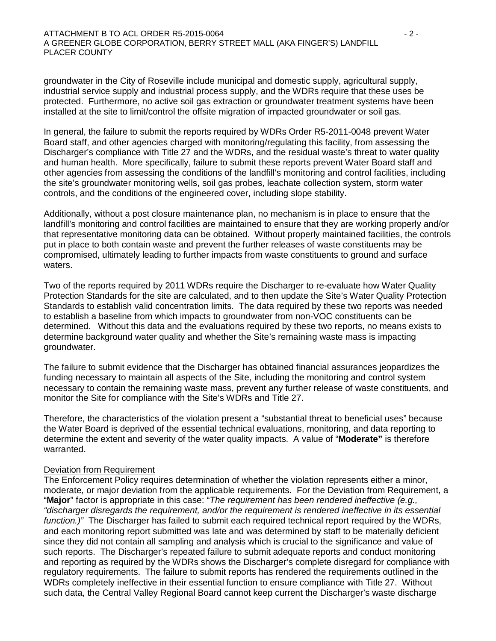#### ATTACHMENT B TO ACL ORDER R5-2015-0064 **ATTACHMENT B TO ACL ORDER R5-2015-0064** A GREENER GLOBE CORPORATION, BERRY STREET MALL (AKA FINGER'S) LANDFILL PLACER COUNTY

groundwater in the City of Roseville include municipal and domestic supply, agricultural supply, industrial service supply and industrial process supply, and the WDRs require that these uses be protected. Furthermore, no active soil gas extraction or groundwater treatment systems have been installed at the site to limit/control the offsite migration of impacted groundwater or soil gas.

In general, the failure to submit the reports required by WDRs Order R5-2011-0048 prevent Water Board staff, and other agencies charged with monitoring/regulating this facility, from assessing the Discharger's compliance with Title 27 and the WDRs, and the residual waste's threat to water quality and human health. More specifically, failure to submit these reports prevent Water Board staff and other agencies from assessing the conditions of the landfill's monitoring and control facilities, including the site's groundwater monitoring wells, soil gas probes, leachate collection system, storm water controls, and the conditions of the engineered cover, including slope stability.

Additionally, without a post closure maintenance plan, no mechanism is in place to ensure that the landfill's monitoring and control facilities are maintained to ensure that they are working properly and/or that representative monitoring data can be obtained. Without properly maintained facilities, the controls put in place to both contain waste and prevent the further releases of waste constituents may be compromised, ultimately leading to further impacts from waste constituents to ground and surface waters.

Two of the reports required by 2011 WDRs require the Discharger to re-evaluate how Water Quality Protection Standards for the site are calculated, and to then update the Site's Water Quality Protection Standards to establish valid concentration limits. The data required by these two reports was needed to establish a baseline from which impacts to groundwater from non-VOC constituents can be determined. Without this data and the evaluations required by these two reports, no means exists to determine background water quality and whether the Site's remaining waste mass is impacting groundwater.

The failure to submit evidence that the Discharger has obtained financial assurances jeopardizes the funding necessary to maintain all aspects of the Site, including the monitoring and control system necessary to contain the remaining waste mass, prevent any further release of waste constituents, and monitor the Site for compliance with the Site's WDRs and Title 27.

Therefore, the characteristics of the violation present a "substantial threat to beneficial uses" because the Water Board is deprived of the essential technical evaluations, monitoring, and data reporting to determine the extent and severity of the water quality impacts. A value of "**Moderate"** is therefore warranted.

#### Deviation from Requirement

The Enforcement Policy requires determination of whether the violation represents either a minor, moderate, or major deviation from the applicable requirements. For the Deviation from Requirement, a "**Major**" factor is appropriate in this case: "*The requirement has been rendered ineffective (e.g., "discharger disregards the requirement, and/or the requirement is rendered ineffective in its essential function.)"* The Discharger has failed to submit each required technical report required by the WDRs, and each monitoring report submitted was late and was determined by staff to be materially deficient since they did not contain all sampling and analysis which is crucial to the significance and value of such reports. The Discharger's repeated failure to submit adequate reports and conduct monitoring and reporting as required by the WDRs shows the Discharger's complete disregard for compliance with regulatory requirements. The failure to submit reports has rendered the requirements outlined in the WDRs completely ineffective in their essential function to ensure compliance with Title 27. Without such data, the Central Valley Regional Board cannot keep current the Discharger's waste discharge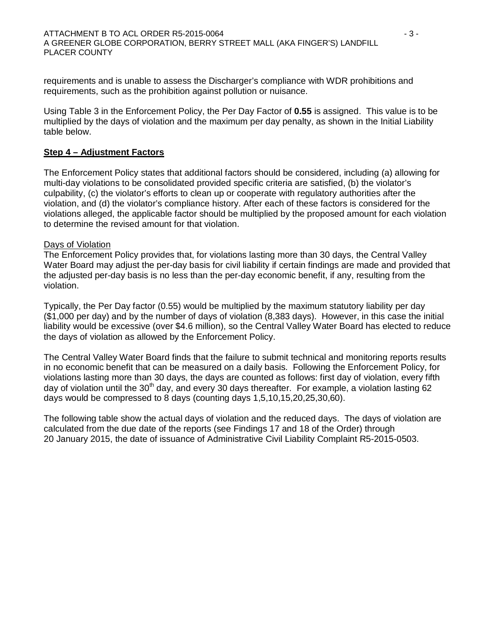requirements and is unable to assess the Discharger's compliance with WDR prohibitions and requirements, such as the prohibition against pollution or nuisance.

Using Table 3 in the Enforcement Policy, the Per Day Factor of **0.55** is assigned. This value is to be multiplied by the days of violation and the maximum per day penalty, as shown in the Initial Liability table below.

## **Step 4 – Adjustment Factors**

The Enforcement Policy states that additional factors should be considered, including (a) allowing for multi-day violations to be consolidated provided specific criteria are satisfied, (b) the violator's culpability, (c) the violator's efforts to clean up or cooperate with regulatory authorities after the violation, and (d) the violator's compliance history. After each of these factors is considered for the violations alleged, the applicable factor should be multiplied by the proposed amount for each violation to determine the revised amount for that violation.

#### Days of Violation

The Enforcement Policy provides that, for violations lasting more than 30 days, the Central Valley Water Board may adjust the per-day basis for civil liability if certain findings are made and provided that the adjusted per-day basis is no less than the per-day economic benefit, if any, resulting from the violation.

Typically, the Per Day factor (0.55) would be multiplied by the maximum statutory liability per day (\$1,000 per day) and by the number of days of violation (8,383 days). However, in this case the initial liability would be excessive (over \$4.6 million), so the Central Valley Water Board has elected to reduce the days of violation as allowed by the Enforcement Policy.

The Central Valley Water Board finds that the failure to submit technical and monitoring reports results in no economic benefit that can be measured on a daily basis. Following the Enforcement Policy, for violations lasting more than 30 days, the days are counted as follows: first day of violation, every fifth day of violation until the  $30<sup>th</sup>$  day, and every 30 days thereafter. For example, a violation lasting 62 days would be compressed to 8 days (counting days 1,5,10,15,20,25,30,60).

The following table show the actual days of violation and the reduced days. The days of violation are calculated from the due date of the reports (see Findings 17 and 18 of the Order) through 20 January 2015, the date of issuance of Administrative Civil Liability Complaint R5-2015-0503.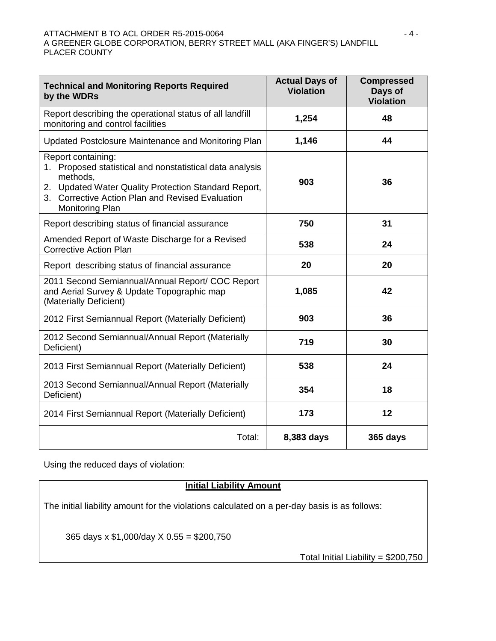#### ATTACHMENT B TO ACL ORDER R5-2015-0064  $-4$  -A GREENER GLOBE CORPORATION, BERRY STREET MALL (AKA FINGER'S) LANDFILL PLACER COUNTY

| <b>Technical and Monitoring Reports Required</b><br>by the WDRs                                                                                                                                                              | <b>Actual Days of</b><br><b>Violation</b> | <b>Compressed</b><br>Days of<br><b>Violation</b> |  |
|------------------------------------------------------------------------------------------------------------------------------------------------------------------------------------------------------------------------------|-------------------------------------------|--------------------------------------------------|--|
| Report describing the operational status of all landfill<br>monitoring and control facilities                                                                                                                                | 1,254                                     | 48                                               |  |
| Updated Postclosure Maintenance and Monitoring Plan                                                                                                                                                                          | 1,146                                     | 44                                               |  |
| Report containing:<br>Proposed statistical and nonstatistical data analysis<br>1.<br>methods,<br>2. Updated Water Quality Protection Standard Report,<br>3. Corrective Action Plan and Revised Evaluation<br>Monitoring Plan | 903                                       | 36                                               |  |
| Report describing status of financial assurance                                                                                                                                                                              | 750                                       | 31                                               |  |
| Amended Report of Waste Discharge for a Revised<br><b>Corrective Action Plan</b>                                                                                                                                             | 538                                       | 24                                               |  |
| Report describing status of financial assurance                                                                                                                                                                              | 20                                        | 20                                               |  |
| 2011 Second Semiannual/Annual Report/ COC Report<br>and Aerial Survey & Update Topographic map<br>(Materially Deficient)                                                                                                     | 1,085                                     | 42                                               |  |
| 2012 First Semiannual Report (Materially Deficient)                                                                                                                                                                          | 903                                       | 36                                               |  |
| 2012 Second Semiannual/Annual Report (Materially<br>Deficient)                                                                                                                                                               | 719                                       | 30                                               |  |
| 2013 First Semiannual Report (Materially Deficient)                                                                                                                                                                          | 538                                       | 24                                               |  |
| 2013 Second Semiannual/Annual Report (Materially<br>Deficient)                                                                                                                                                               | 354                                       | 18                                               |  |
| 2014 First Semiannual Report (Materially Deficient)                                                                                                                                                                          | 173                                       | 12                                               |  |
| Total:                                                                                                                                                                                                                       | 8,383 days                                | 365 days                                         |  |

Using the reduced days of violation:

# **Initial Liability Amount**

The initial liability amount for the violations calculated on a per-day basis is as follows:

365 days x \$1,000/day X 0.55 = \$200,750

Total Initial Liability = \$200,750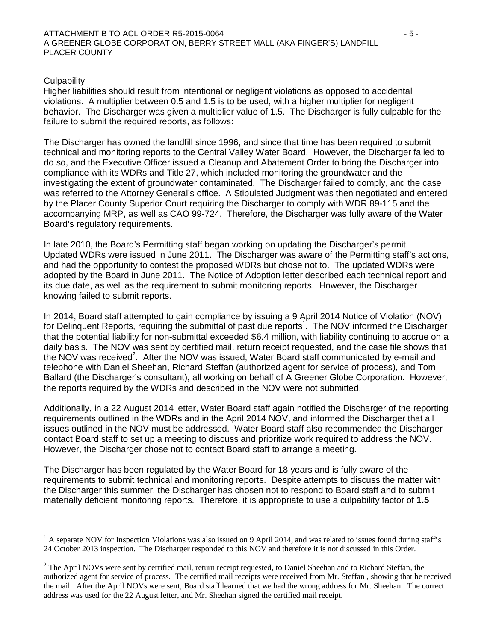#### **Culpability**

Higher liabilities should result from intentional or negligent violations as opposed to accidental violations. A multiplier between 0.5 and 1.5 is to be used, with a higher multiplier for negligent behavior. The Discharger was given a multiplier value of 1.5. The Discharger is fully culpable for the failure to submit the required reports, as follows:

The Discharger has owned the landfill since 1996, and since that time has been required to submit technical and monitoring reports to the Central Valley Water Board. However, the Discharger failed to do so, and the Executive Officer issued a Cleanup and Abatement Order to bring the Discharger into compliance with its WDRs and Title 27, which included monitoring the groundwater and the investigating the extent of groundwater contaminated. The Discharger failed to comply, and the case was referred to the Attorney General's office. A Stipulated Judgment was then negotiated and entered by the Placer County Superior Court requiring the Discharger to comply with WDR 89-115 and the accompanying MRP, as well as CAO 99-724. Therefore, the Discharger was fully aware of the Water Board's regulatory requirements.

In late 2010, the Board's Permitting staff began working on updating the Discharger's permit. Updated WDRs were issued in June 2011. The Discharger was aware of the Permitting staff's actions, and had the opportunity to contest the proposed WDRs but chose not to. The updated WDRs were adopted by the Board in June 2011. The Notice of Adoption letter described each technical report and its due date, as well as the requirement to submit monitoring reports. However, the Discharger knowing failed to submit reports.

In 2014, Board staff attempted to gain compliance by issuing a 9 April 2014 Notice of Violation (NOV) for Delinquent Reports, requiring the submittal of past due reports<sup>1</sup>. The NOV informed the Discharger that the potential liability for non-submittal exceeded \$6.4 million, with liability continuing to accrue on a daily basis. The NOV was sent by certified mail, return receipt requested, and the case file shows that the NOV was received<sup>2</sup>. After the NOV was issued, Water Board staff communicated by e-mail and telephone with Daniel Sheehan, Richard Steffan (authorized agent for service of process), and Tom Ballard (the Discharger's consultant), all working on behalf of A Greener Globe Corporation. However, the reports required by the WDRs and described in the NOV were not submitted.

Additionally, in a 22 August 2014 letter, Water Board staff again notified the Discharger of the reporting requirements outlined in the WDRs and in the April 2014 NOV, and informed the Discharger that all issues outlined in the NOV must be addressed. Water Board staff also recommended the Discharger contact Board staff to set up a meeting to discuss and prioritize work required to address the NOV. However, the Discharger chose not to contact Board staff to arrange a meeting.

The Discharger has been regulated by the Water Board for 18 years and is fully aware of the requirements to submit technical and monitoring reports. Despite attempts to discuss the matter with the Discharger this summer, the Discharger has chosen not to respond to Board staff and to submit materially deficient monitoring reports. Therefore, it is appropriate to use a culpability factor of **1.5**

 $\overline{a}$  $<sup>1</sup>$  A separate NOV for Inspection Violations was also issued on 9 April 2014, and was related to issues found during staff's</sup> 24 October 2013 inspection. The Discharger responded to this NOV and therefore it is not discussed in this Order.

<sup>&</sup>lt;sup>2</sup> The April NOVs were sent by certified mail, return receipt requested, to Daniel Sheehan and to Richard Steffan, the authorized agent for service of process. The certified mail receipts were received from Mr. Steffan , showing that he received the mail. After the April NOVs were sent, Board staff learned that we had the wrong address for Mr. Sheehan. The correct address was used for the 22 August letter, and Mr. Sheehan signed the certified mail receipt.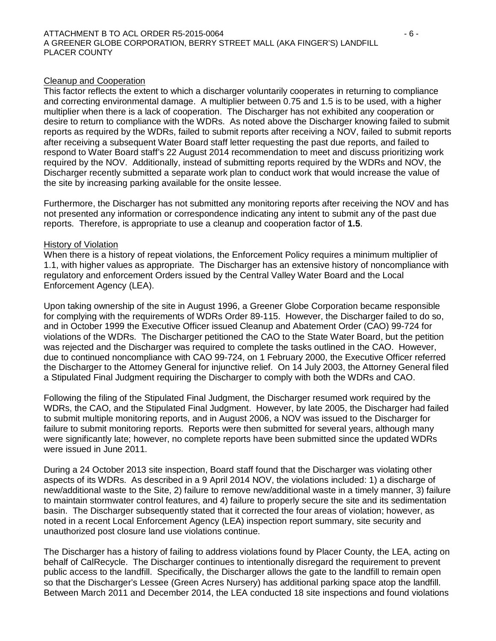#### Cleanup and Cooperation

This factor reflects the extent to which a discharger voluntarily cooperates in returning to compliance and correcting environmental damage. A multiplier between 0.75 and 1.5 is to be used, with a higher multiplier when there is a lack of cooperation. The Discharger has not exhibited any cooperation or desire to return to compliance with the WDRs. As noted above the Discharger knowing failed to submit reports as required by the WDRs, failed to submit reports after receiving a NOV, failed to submit reports after receiving a subsequent Water Board staff letter requesting the past due reports, and failed to respond to Water Board staff's 22 August 2014 recommendation to meet and discuss prioritizing work required by the NOV. Additionally, instead of submitting reports required by the WDRs and NOV, the Discharger recently submitted a separate work plan to conduct work that would increase the value of the site by increasing parking available for the onsite lessee.

Furthermore, the Discharger has not submitted any monitoring reports after receiving the NOV and has not presented any information or correspondence indicating any intent to submit any of the past due reports. Therefore, is appropriate to use a cleanup and cooperation factor of **1.5**.

## History of Violation

When there is a history of repeat violations, the Enforcement Policy requires a minimum multiplier of 1.1, with higher values as appropriate. The Discharger has an extensive history of noncompliance with regulatory and enforcement Orders issued by the Central Valley Water Board and the Local Enforcement Agency (LEA).

Upon taking ownership of the site in August 1996, a Greener Globe Corporation became responsible for complying with the requirements of WDRs Order 89-115. However, the Discharger failed to do so, and in October 1999 the Executive Officer issued Cleanup and Abatement Order (CAO) 99-724 for violations of the WDRs. The Discharger petitioned the CAO to the State Water Board, but the petition was rejected and the Discharger was required to complete the tasks outlined in the CAO. However, due to continued noncompliance with CAO 99-724, on 1 February 2000, the Executive Officer referred the Discharger to the Attorney General for injunctive relief. On 14 July 2003, the Attorney General filed a Stipulated Final Judgment requiring the Discharger to comply with both the WDRs and CAO.

Following the filing of the Stipulated Final Judgment, the Discharger resumed work required by the WDRs, the CAO, and the Stipulated Final Judgment. However, by late 2005, the Discharger had failed to submit multiple monitoring reports, and in August 2006, a NOV was issued to the Discharger for failure to submit monitoring reports. Reports were then submitted for several years, although many were significantly late; however, no complete reports have been submitted since the updated WDRs were issued in June 2011.

During a 24 October 2013 site inspection, Board staff found that the Discharger was violating other aspects of its WDRs. As described in a 9 April 2014 NOV, the violations included: 1) a discharge of new/additional waste to the Site, 2) failure to remove new/additional waste in a timely manner, 3) failure to maintain stormwater control features, and 4) failure to properly secure the site and its sedimentation basin. The Discharger subsequently stated that it corrected the four areas of violation; however, as noted in a recent Local Enforcement Agency (LEA) inspection report summary, site security and unauthorized post closure land use violations continue.

The Discharger has a history of failing to address violations found by Placer County, the LEA, acting on behalf of CalRecycle. The Discharger continues to intentionally disregard the requirement to prevent public access to the landfill. Specifically, the Discharger allows the gate to the landfill to remain open so that the Discharger's Lessee (Green Acres Nursery) has additional parking space atop the landfill. Between March 2011 and December 2014, the LEA conducted 18 site inspections and found violations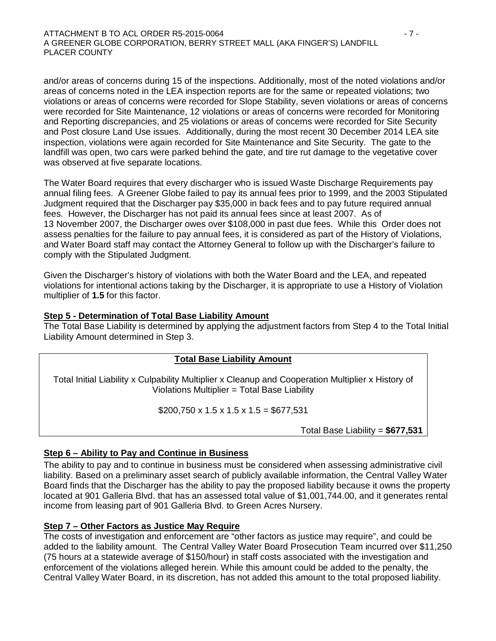#### ATTACHMENT B TO ACL ORDER R5-2015-0064 - 7 - A GREENER GLOBE CORPORATION, BERRY STREET MALL (AKA FINGER'S) LANDFILL PLACER COUNTY

and/or areas of concerns during 15 of the inspections. Additionally, most of the noted violations and/or areas of concerns noted in the LEA inspection reports are for the same or repeated violations; two violations or areas of concerns were recorded for Slope Stability, seven violations or areas of concerns were recorded for Site Maintenance, 12 violations or areas of concerns were recorded for Monitoring and Reporting discrepancies, and 25 violations or areas of concerns were recorded for Site Security and Post closure Land Use issues. Additionally, during the most recent 30 December 2014 LEA site inspection, violations were again recorded for Site Maintenance and Site Security. The gate to the landfill was open, two cars were parked behind the gate, and tire rut damage to the vegetative cover was observed at five separate locations.

The Water Board requires that every discharger who is issued Waste Discharge Requirements pay annual filing fees. A Greener Globe failed to pay its annual fees prior to 1999, and the 2003 Stipulated Judgment required that the Discharger pay \$35,000 in back fees and to pay future required annual fees. However, the Discharger has not paid its annual fees since at least 2007. As of 13 November 2007, the Discharger owes over \$108,000 in past due fees. While this Order does not assess penalties for the failure to pay annual fees, it is considered as part of the History of Violations, and Water Board staff may contact the Attorney General to follow up with the Discharger's failure to comply with the Stipulated Judgment.

Given the Discharger's history of violations with both the Water Board and the LEA, and repeated violations for intentional actions taking by the Discharger, it is appropriate to use a History of Violation multiplier of **1.5** for this factor.

## **Step 5 - Determination of Total Base Liability Amount**

The Total Base Liability is determined by applying the adjustment factors from Step 4 to the Total Initial Liability Amount determined in Step 3.

## **Total Base Liability Amount**

Total Initial Liability x Culpability Multiplier x Cleanup and Cooperation Multiplier x History of Violations Multiplier = Total Base Liability

 $$200,750 \times 1.5 \times 1.5 \times 1.5 = $677,531$ 

Total Base Liability = **\$677,531**

# **Step 6 – Ability to Pay and Continue in Business**

The ability to pay and to continue in business must be considered when assessing administrative civil liability. Based on a preliminary asset search of publicly available information, the Central Valley Water Board finds that the Discharger has the ability to pay the proposed liability because it owns the property located at 901 Galleria Blvd. that has an assessed total value of \$1,001,744.00, and it generates rental income from leasing part of 901 Galleria Blvd. to Green Acres Nursery.

## **Step 7 – Other Factors as Justice May Require**

The costs of investigation and enforcement are "other factors as justice may require", and could be added to the liability amount. The Central Valley Water Board Prosecution Team incurred over \$11,250 (75 hours at a statewide average of \$150/hour) in staff costs associated with the investigation and enforcement of the violations alleged herein. While this amount could be added to the penalty, the Central Valley Water Board, in its discretion, has not added this amount to the total proposed liability.